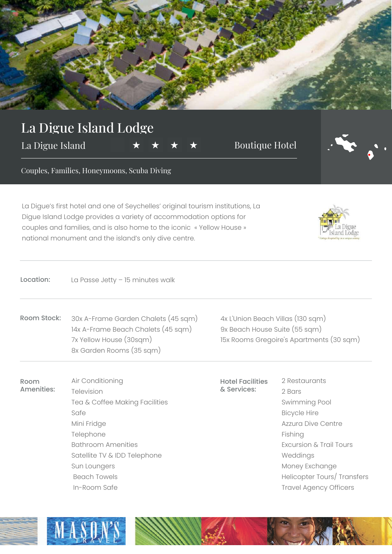

## La Digue Island Lodge

La Digue Island  $\star \star \star \star$  Boutique Hotel

Room Amenities:



Couples, Families, Honeymoons, Scuba Diving

La Digue's first hotel and one of Seychelles' original tourism institutions, La Digue Island Lodge provides a variety of accommodation options for couples and families, and is also home to the iconic « Yellow House » national monument and the island's only dive centre.

| s |
|---|

| La Passe Jetty - 15 minutes walk |
|----------------------------------|
|                                  |

Air Conditioning

Bathroom Amenities

Television

Mini Fridge Telephone

Sun Loungers Beach Towels In-Room Safe

Safe

Room Stock: 30x A-Frame Garden Chalets (45 sqm) 14x A-Frame Beach Chalets (45 sqm) 7x Yellow House (30sqm) 8x Garden Rooms (35 sqm)

Tea & Coffee Making Facilities

Satellite TV & IDD Telephone

4x L'Union Beach Villas (130 sqm) 9x Beach House Suite (55 sqm) 15x Rooms Gregoire's Apartments (30 sqm)

Hotel Facilities & Services:

2 Restaurants 2 Bars Swimming Pool Bicycle Hire Azzura Dive Centre Fishing Excursion & Trail Tours Weddings Money Exchange Helicopter Tours/ Transfers Travel Agency Officers